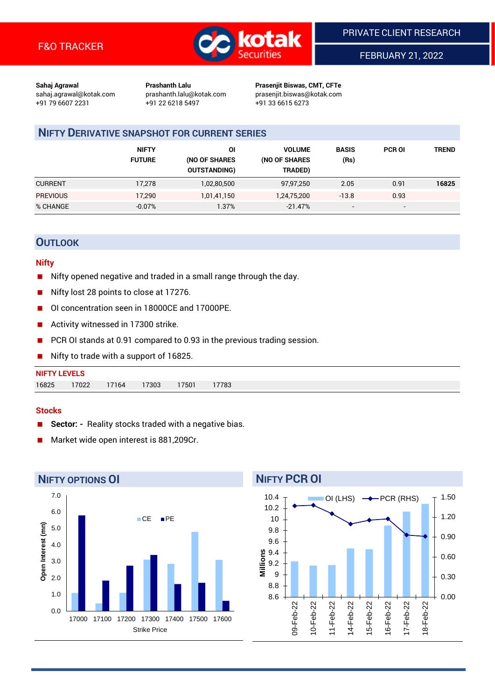

FEBRUARY 21, 2022

**Sahaj Agrawal Prashanth Lalu Prasenjit Biswas, CMT, CFTe** +91 79 6607 2231 +91 22 6218 5497 +91 33 6615 6273

sahaj.agrawal@kotak.com [prashanth.lalu@kotak.com](mailto:prashanth.lalu@kotak.com) prasenjit.biswas@kotak.com

# **NIFTY DERIVATIVE SNAPSHOT FOR CURRENT SERIES**

|                 | <b>NIFTY</b><br><b>FUTURE</b> | ΟI<br>(NO OF SHARES<br><b>OUTSTANDING)</b> | <b>VOLUME</b><br>(NO OF SHARES<br>TRADED) | <b>BASIS</b><br>(Rs)     | <b>PCR OI</b>            | TREND |
|-----------------|-------------------------------|--------------------------------------------|-------------------------------------------|--------------------------|--------------------------|-------|
| <b>CURRENT</b>  | 17,278                        | 1,02,80,500                                | 97,97,250                                 | 2.05                     | 0.91                     | 16825 |
| <b>PREVIOUS</b> | 17.290                        | 1,01,41,150                                | 1,24,75,200                               | $-13.8$                  | 0.93                     |       |
| % CHANGE        | $-0.07%$                      | 1.37%                                      | $-21.47%$                                 | $\overline{\phantom{a}}$ | $\overline{\phantom{a}}$ |       |

# **OUTLOOK**

#### **Nifty**

- Nifty opened negative and traded in a small range through the day.
- Nifty lost 28 points to close at 17276.
- OI concentration seen in 18000CE and 17000PE.
- Activity witnessed in 17300 strike.
- PCR OI stands at 0.91 compared to 0.93 in the previous trading session.
- Nifty to trade with a support of 16825.

| <b>NIFTY LEVELS</b> |       |       |       |      |       |
|---------------------|-------|-------|-------|------|-------|
| 16825               | 17022 | 17164 | 17303 | 7501 | 17783 |

#### **Stocks**

- **Sector: -** Reality stocks traded with a negative bias.
- Market wide open interest is 881,209Cr.



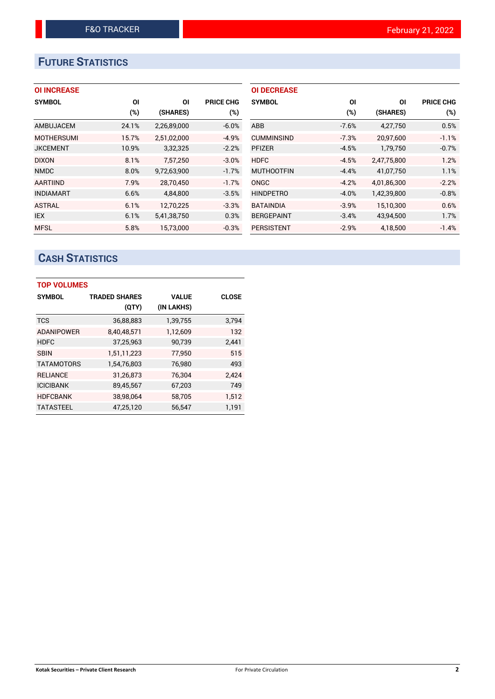# **FUTURE STATISTICS**

## **OI INCREASE**

| <b>SYMBOL</b>     | ΟI     | ΟI          | <b>PRICE CHG</b> |
|-------------------|--------|-------------|------------------|
|                   | $(\%)$ | (SHARES)    | (%)              |
| AMBUJACEM         | 24.1%  | 2,26,89,000 | $-6.0%$          |
| <b>MOTHERSUMI</b> | 15.7%  | 2,51,02,000 | $-4.9%$          |
| <b>JKCEMENT</b>   | 10.9%  | 3,32,325    | $-2.2%$          |
| <b>DIXON</b>      | 8.1%   | 7,57,250    | $-3.0%$          |
| <b>NMDC</b>       | 8.0%   | 9,72,63,900 | $-1.7%$          |
| <b>AARTIIND</b>   | 7.9%   | 28.70.450   | $-1.7%$          |
| <b>INDIAMART</b>  | 6.6%   | 4,84,800    | $-3.5%$          |
| <b>ASTRAL</b>     | 6.1%   | 12,70,225   | $-3.3%$          |
| <b>IEX</b>        | 6.1%   | 5,41,38,750 | 0.3%             |
| <b>MFSL</b>       | 5.8%   | 15.73.000   | $-0.3%$          |

| <b>OI DECREASE</b> |         |             |                  |
|--------------------|---------|-------------|------------------|
| <b>SYMBOL</b>      | ΟI      | ΟI          | <b>PRICE CHG</b> |
|                    | $(\%)$  | (SHARES)    | $(\%)$           |
| ABB                | $-7.6%$ | 4,27,750    | 0.5%             |
| <b>CUMMINSIND</b>  | $-7.3%$ | 20,97,600   | $-1.1%$          |
| <b>PFIZER</b>      | $-4.5%$ | 1,79,750    | $-0.7%$          |
| <b>HDFC</b>        | $-4.5%$ | 2,47,75,800 | 1.2%             |
| <b>MUTHOOTFIN</b>  | $-4.4%$ | 41,07,750   | 1.1%             |
| ONGC               | $-4.2%$ | 4,01,86,300 | $-2.2%$          |
| <b>HINDPETRO</b>   | $-4.0%$ | 1,42,39,800 | $-0.8\%$         |
| <b>BATAINDIA</b>   | $-3.9%$ | 15,10,300   | 0.6%             |
| <b>BERGEPAINT</b>  | $-3.4%$ | 43,94,500   | 1.7%             |
| <b>PERSISTENT</b>  | $-2.9%$ | 4,18,500    | $-1.4%$          |

# **CASH STATISTICS**

| <b>TOP VOLUMES</b> |                      |              |              |  |  |  |  |  |
|--------------------|----------------------|--------------|--------------|--|--|--|--|--|
| <b>SYMBOL</b>      | <b>TRADED SHARES</b> | <b>VALUE</b> | <b>CLOSE</b> |  |  |  |  |  |
|                    | (QTY)                | (IN LAKHS)   |              |  |  |  |  |  |
| <b>TCS</b>         | 36,88,883            | 1,39,755     | 3,794        |  |  |  |  |  |
| <b>ADANIPOWER</b>  | 8,40,48,571          | 1,12,609     | 132          |  |  |  |  |  |
| <b>HDFC</b>        | 37,25,963            | 90,739       | 2,441        |  |  |  |  |  |
| <b>SBIN</b>        | 1,51,11,223          | 77,950       | 515          |  |  |  |  |  |
| <b>TATAMOTORS</b>  | 1,54,76,803          | 76,980       | 493          |  |  |  |  |  |
| <b>RELIANCE</b>    | 31,26,873            | 76,304       | 2,424        |  |  |  |  |  |
| <b>ICICIBANK</b>   | 89,45,567            | 67,203       | 749          |  |  |  |  |  |
| <b>HDFCBANK</b>    | 38,98,064            | 58,705       | 1,512        |  |  |  |  |  |
| <b>TATASTEEL</b>   | 47,25,120            | 56.547       | 1.191        |  |  |  |  |  |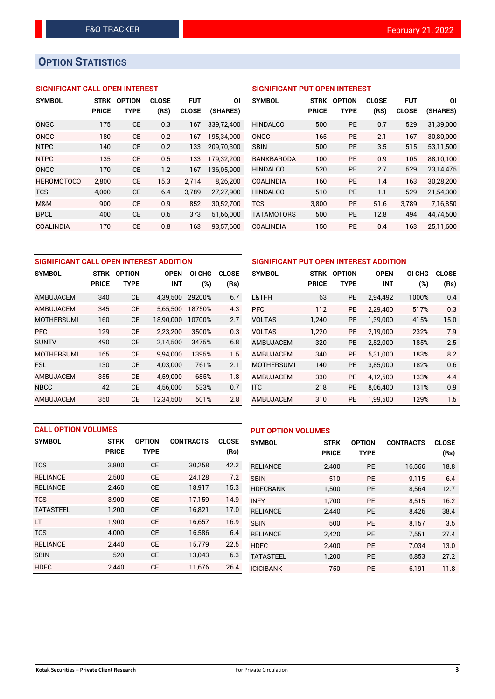# **OPTION STATISTICS**

## **SIGNIFICANT CALL OPEN INTEREST**

| <b>SYMBOL</b>     | <b>STRK</b>  | <b>OPTION</b> | <b>CLOSE</b> | FUT          | ΟI         |
|-------------------|--------------|---------------|--------------|--------------|------------|
|                   | <b>PRICE</b> | <b>TYPE</b>   | (RS)         | <b>CLOSE</b> | (SHARES)   |
| ONGC              | 175          | CE            | 0.3          | 167          | 339.72.400 |
| ONGC              | 180          | CE            | 0.2          | 167          | 195,34,900 |
| <b>NTPC</b>       | 140          | <b>CE</b>     | 0.2          | 133          | 209.70.300 |
| <b>NTPC</b>       | 135          | CF            | 0.5          | 133          | 179,32,200 |
| ONGC              | 170          | CE            | 1.2          | 167          | 136,05,900 |
| <b>HEROMOTOCO</b> | 2,800        | CF            | 15.3         | 2,714        | 8,26,200   |
| <b>TCS</b>        | 4,000        | CE            | 6.4          | 3,789        | 27,27,900  |
| M&M               | 900          | <b>CE</b>     | 0.9          | 852          | 30,52,700  |
| <b>BPCL</b>       | 400          | <b>CE</b>     | 0.6          | 373          | 51,66,000  |
| COALINDIA         | 170          | CE            | 0.8          | 163          | 93,57,600  |

## **SIGNIFICANT PUT OPEN INTEREST**

| <b>SYMBOL</b>     | <b>STRK</b><br>PRICE | <b>OPTION</b><br>TYPE | <b>CLOSE</b><br>(RS) | <b>FUT</b><br><b>CLOSE</b> | ΟI<br>(SHARES) |
|-------------------|----------------------|-----------------------|----------------------|----------------------------|----------------|
| <b>HINDALCO</b>   | 500                  | PF                    | 0.7                  | 529                        | 31,39,000      |
| ONGC              | 165                  | PF                    | 2.1                  | 167                        | 30,80,000      |
| <b>SBIN</b>       | 500                  | <b>PE</b>             | 3.5                  | 515                        | 53,11,500      |
| <b>BANKBARODA</b> | 100                  | PF                    | 0.9                  | 105                        | 88,10,100      |
| <b>HINDALCO</b>   | 520                  | PF                    | 2.7                  | 529                        | 23,14,475      |
| COALINDIA         | 160                  | PF                    | 1.4                  | 163                        | 30,28,200      |
| <b>HINDALCO</b>   | 510                  | PF                    | 1.1                  | 529                        | 21,54,300      |
| <b>TCS</b>        | 3,800                | PF                    | 51.6                 | 3,789                      | 7,16,850       |
| <b>TATAMOTORS</b> | 500                  | <b>PE</b>             | 12.8                 | 494                        | 44.74.500      |
| COALINDIA         | 150                  | <b>PE</b>             | 0.4                  | 163                        | 25,11,600      |

| SIGNIFICANT CALL OPEN INTEREST ADDITION |              |               |             |        |              | SIGNIFICANT PUT OPEN INTEREST ADDITION |              |               |             |        |              |
|-----------------------------------------|--------------|---------------|-------------|--------|--------------|----------------------------------------|--------------|---------------|-------------|--------|--------------|
| <b>SYMBOL</b>                           | <b>STRK</b>  | <b>OPTION</b> | <b>OPEN</b> | OI CHG | <b>CLOSE</b> | <b>SYMBOL</b>                          | <b>STRK</b>  | <b>OPTION</b> | <b>OPEN</b> | OI CHG | <b>CLOSE</b> |
|                                         | <b>PRICE</b> | <b>TYPE</b>   | <b>INT</b>  | (%)    | (Rs)         |                                        | <b>PRICE</b> | <b>TYPE</b>   | <b>INT</b>  | (%)    | (Rs)         |
| AMBUJACEM                               | 340          | <b>CE</b>     | 4,39,500    | 29200% | 6.7          | L&TFH                                  | 63           | <b>PE</b>     | 2,94,492    | 1000%  | 0.4          |
| AMBUJACEM                               | 345          | <b>CE</b>     | 5.65.500    | 18750% | 4.3          | <b>PFC</b>                             | 112          | <b>PE</b>     | 2.29.400    | 517%   | 0.3          |
| <b>MOTHERSUMI</b>                       | 160          | <b>CE</b>     | 18,90,000   | 10700% | 2.7          | <b>VOLTAS</b>                          | 1,240        | <b>PE</b>     | 1,39,000    | 415%   | 15.0         |
| <b>PFC</b>                              | 129          | <b>CE</b>     | 2,23,200    | 3500%  | 0.3          | <b>VOLTAS</b>                          | 1,220        | <b>PE</b>     | 2.19.000    | 232%   | 7.9          |
| <b>SUNTV</b>                            | 490          | <b>CE</b>     | 2,14,500    | 3475%  | 6.8          | <b>AMBUJACEM</b>                       | 320          | <b>PE</b>     | 2,82,000    | 185%   | 2.5          |
| <b>MOTHERSUMI</b>                       | 165          | <b>CE</b>     | 9.94.000    | 1395%  | 1.5          | AMBUJACEM                              | 340          | <b>PE</b>     | 5.31.000    | 183%   | 8.2          |
| <b>FSL</b>                              | 130          | <b>CE</b>     | 4,03,000    | 761%   | 2.1          | <b>MOTHERSUMI</b>                      | 140          | <b>PE</b>     | 3,85,000    | 182%   | 0.6          |
| AMBUJACEM                               | 355          | <b>CE</b>     | 4.59.000    | 685%   | 1.8          | AMBUJACEM                              | 330          | <b>PE</b>     | 4.12.500    | 133%   | 4.4          |
| <b>NBCC</b>                             | 42           | <b>CE</b>     | 4,56,000    | 533%   | 0.7          | <b>ITC</b>                             | 218          | <b>PE</b>     | 8.06.400    | 131%   | 0.9          |
| AMBUJACEM                               | 350          | <b>CE</b>     | 12.34.500   | 501%   | 2.8          | <b>AMBUJACEM</b>                       | 310          | <b>PE</b>     | 1.99.500    | 129%   | 1.5          |

|                  | <b>CALL OPTION VOLUMES</b> |               |                  |              |                  | <b>PUT OPTION VOLUMES</b> |               |                  |              |  |
|------------------|----------------------------|---------------|------------------|--------------|------------------|---------------------------|---------------|------------------|--------------|--|
| <b>SYMBOL</b>    | <b>STRK</b>                | <b>OPTION</b> | <b>CONTRACTS</b> | <b>CLOSE</b> | <b>SYMBOL</b>    | <b>STRK</b>               | <b>OPTION</b> | <b>CONTRACTS</b> | <b>CLOSE</b> |  |
|                  | <b>PRICE</b>               | <b>TYPE</b>   |                  | (Rs)         |                  | <b>PRICE</b>              | <b>TYPE</b>   |                  | (Rs)         |  |
| <b>TCS</b>       | 3,800                      | <b>CE</b>     | 30,258           | 42.2         | <b>RELIANCE</b>  | 2,400                     | PE            | 16,566           | 18.8         |  |
| <b>RELIANCE</b>  | 2,500                      | <b>CE</b>     | 24,128           | 7.2          | <b>SBIN</b>      | 510                       | <b>PE</b>     | 9,115            | 6.4          |  |
| <b>RELIANCE</b>  | 2,460                      | <b>CE</b>     | 18,917           | 15.3         | <b>HDFCBANK</b>  | 1,500                     | PE            | 8,564            | 12.7         |  |
| <b>TCS</b>       | 3.900                      | <b>CE</b>     | 17.159           | 14.9         | <b>INFY</b>      | 1.700                     | PE            | 8,515            | 16.2         |  |
| <b>TATASTEEL</b> | 1,200                      | <b>CE</b>     | 16,821           | 17.0         | <b>RELIANCE</b>  | 2,440                     | PE            | 8,426            | 38.4         |  |
| LT               | 1,900                      | <b>CE</b>     | 16,657           | 16.9         | <b>SBIN</b>      | 500                       | <b>PE</b>     | 8,157            | 3.5          |  |
| <b>TCS</b>       | 4,000                      | <b>CE</b>     | 16,586           | 6.4          | <b>RELIANCE</b>  | 2,420                     | PE            | 7,551            | 27.4         |  |
| <b>RELIANCE</b>  | 2,440                      | <b>CE</b>     | 15.779           | 22.5         | <b>HDFC</b>      | 2,400                     | <b>PE</b>     | 7.034            | 13.0         |  |
| <b>SBIN</b>      | 520                        | <b>CE</b>     | 13,043           | 6.3          | <b>TATASTEEL</b> | 1,200                     | <b>PE</b>     | 6,853            | 27.2         |  |
| <b>HDFC</b>      | 2.440                      | <b>CE</b>     | 11,676           | 26.4         | <b>ICICIBANK</b> | 750                       | <b>PE</b>     | 6.191            | 11.8         |  |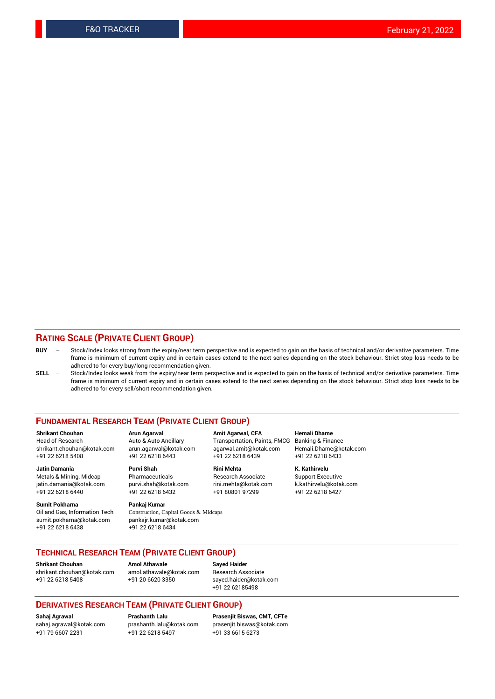#### **RATING SCALE (PRIVATE CLIENT GROUP)**

- **BUY**  Stock/Index looks strong from the expiry/near term perspective and is expected to gain on the basis of technical and/or derivative parameters. Time frame is minimum of current expiry and in certain cases extend to the next series depending on the stock behaviour. Strict stop loss needs to be adhered to for every buy/long recommendation given.
- **SELL** Stock/Index looks weak from the expiry/near term perspective and is expected to gain on the basis of technical and/or derivative parameters. Time frame is minimum of current expiry and in certain cases extend to the next series depending on the stock behaviour. Strict stop loss needs to be adhered to for every sell/short recommendation given.

#### **FUNDAMENTAL RESEARCH TEAM (PRIVATE CLIENT GROUP)**

**Shrikant Chouhan Arun Agarwal Amit Agarwal, CFA Hemali Dhame** shrikant.chouhan@kotak.com arun.agarwal@kotak.com agarwal.amit@kotak.com Hemali.Dhame@kotak.com +91 22 6218 5408 +91 22 6218 6443 +91 22 6218 6439 +91 22 6218 6433

jatin.damania@kotak.com +91 22 6218 6440 +91 22 6218 6432 +91 80801 97299 +91 22 6218 6427

**Sumit Pokharna** Pankaj Kumar<br>Oil and Gas, Information Tech Construction, C sumit.pokharna@kotak.com pankajr.kumar@kotak.com +91 22 6218 6438 +91 22 6218 6434

**Jatin Damania Purvi Shah Rini Mehta K. Kathirvelu**

Construction, Capital Goods & Midcaps

Transportation, Paints, FMCG

Metals & Mining, Midcap Pharmaceuticals Pharmaceuticals Research Associate Support Executive<br>
iatin.damania@kotak.com purvi.shah@kotak.com rini.mehta@kotak.com k.kathirvelu@kotak.com

### **TECHNICAL RESEARCH TEAM (PRIVATE CLIENT GROUP)**

[shrikant.chouhan@kotak.com](mailto:shrikant.chouhan@kotak.com) [amol.athawale@kotak.com](mailto:amol.athawale@kotak.com) Research Associate

**Shrikant Chouhan Amol Athawale Sayed Haider**

+91 22 6218 5408 +91 20 6620 3350 [sayed.haider@kotak.com](mailto:sayed.haider@kotak.com) +91 22 62185498

#### **DERIVATIVES RESEARCH TEAM (PRIVATE CLIENT GROUP)**

+91 79 6607 2231 +91 22 6218 5497 +91 33 6615 6273

**Sahaj Agrawal Prashanth Lalu Prasenjit Biswas, CMT, CFTe** [prasenjit.biswas@kotak.com](mailto:prasenjit.biswas@kotak.com)